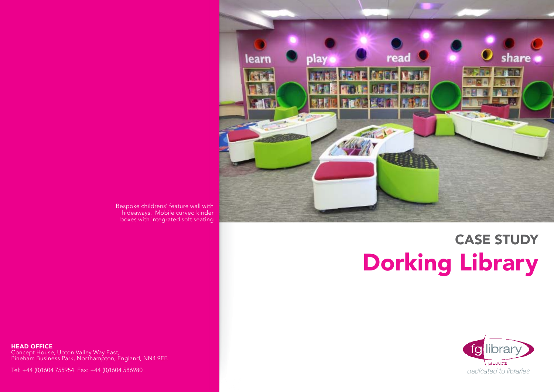

#### Bespoke childrens' feature wall with hideaways. Mobile curved kinder boxes with integrated soft seating

# CASE STUDY Dorking Library

**HEAD OFFICE** Concept House, Upton Valley Way East, Pineham Business Park, Northampton, England, NN4 9EF.

Tel: +44 (0)1604 755954 Fax: +44 (0)1604 586980

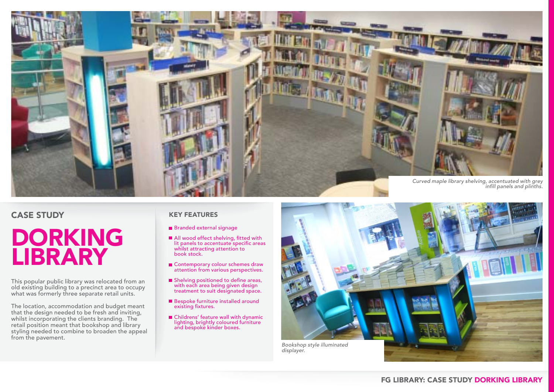

### CASE STUDY

## DORKING LIBRARY

This popular public library was relocated from an old existing building to a precinct area to occupy what was formerly three separate retail units.

The location, accommodation and budget meant that the design needed to be fresh and inviting, whilst incorporating the clients branding. The retail position meant that bookshop and library styling needed to combine to broaden the appeal from the pavement.

#### KEY FEATURES

- **Branded external signage**
- All wood effect shelving, fitted with lit panels to accentuate specific areas whilst attracting attention to book stock.
- Contemporary colour schemes draw attention from various perspectives.
- $\blacksquare$  Shelving positioned to define areas, with each area being given design treatment to suit designated space.
- Bespoke furniture installed around existing fixtures.
- Childrens' feature wall with dynamic lighting, brightly coloured furniture and bespoke kinder boxes.